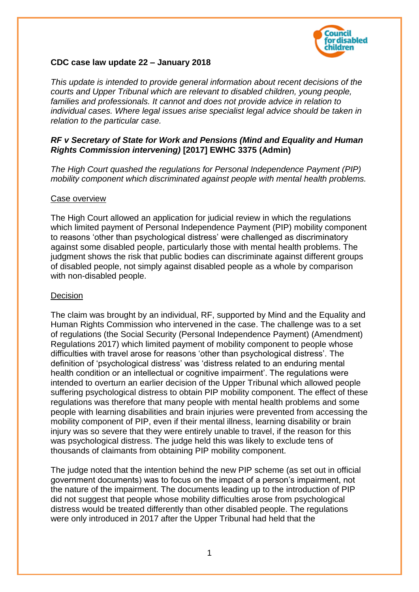

# **CDC case law update 22 – January 2018**

*This update is intended to provide general information about recent decisions of the courts and Upper Tribunal which are relevant to disabled children, young people, families and professionals. It cannot and does not provide advice in relation to individual cases. Where legal issues arise specialist legal advice should be taken in relation to the particular case.*

## *RF v Secretary of State for Work and Pensions (Mind and Equality and Human Rights Commission intervening)* **[2017] EWHC 3375 (Admin)**

*The High Court quashed the regulations for Personal Independence Payment (PIP) mobility component which discriminated against people with mental health problems.*

#### Case overview

The High Court allowed an application for judicial review in which the regulations which limited payment of Personal Independence Payment (PIP) mobility component to reasons 'other than psychological distress' were challenged as discriminatory against some disabled people, particularly those with mental health problems. The judgment shows the risk that public bodies can discriminate against different groups of disabled people, not simply against disabled people as a whole by comparison with non-disabled people.

### **Decision**

The claim was brought by an individual, RF, supported by Mind and the Equality and Human Rights Commission who intervened in the case. The challenge was to a set of regulations (the Social Security (Personal Independence Payment) (Amendment) Regulations 2017) which limited payment of mobility component to people whose difficulties with travel arose for reasons 'other than psychological distress'. The definition of 'psychological distress' was 'distress related to an enduring mental health condition or an intellectual or cognitive impairment'. The regulations were intended to overturn an earlier decision of the Upper Tribunal which allowed people suffering psychological distress to obtain PIP mobility component. The effect of these regulations was therefore that many people with mental health problems and some people with learning disabilities and brain injuries were prevented from accessing the mobility component of PIP, even if their mental illness, learning disability or brain injury was so severe that they were entirely unable to travel, if the reason for this was psychological distress. The judge held this was likely to exclude tens of thousands of claimants from obtaining PIP mobility component.

The judge noted that the intention behind the new PIP scheme (as set out in official government documents) was to focus on the impact of a person's impairment, not the nature of the impairment. The documents leading up to the introduction of PIP did not suggest that people whose mobility difficulties arose from psychological distress would be treated differently than other disabled people. The regulations were only introduced in 2017 after the Upper Tribunal had held that the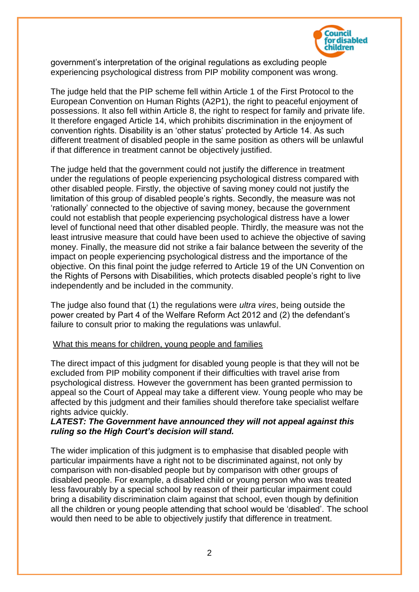

government's interpretation of the original regulations as excluding people experiencing psychological distress from PIP mobility component was wrong.

The judge held that the PIP scheme fell within Article 1 of the First Protocol to the European Convention on Human Rights (A2P1), the right to peaceful enjoyment of possessions. It also fell within Article 8, the right to respect for family and private life. It therefore engaged Article 14, which prohibits discrimination in the enjoyment of convention rights. Disability is an 'other status' protected by Article 14. As such different treatment of disabled people in the same position as others will be unlawful if that difference in treatment cannot be objectively justified.

The judge held that the government could not justify the difference in treatment under the regulations of people experiencing psychological distress compared with other disabled people. Firstly, the objective of saving money could not justify the limitation of this group of disabled people's rights. Secondly, the measure was not 'rationally' connected to the objective of saving money, because the government could not establish that people experiencing psychological distress have a lower level of functional need that other disabled people. Thirdly, the measure was not the least intrusive measure that could have been used to achieve the objective of saving money. Finally, the measure did not strike a fair balance between the severity of the impact on people experiencing psychological distress and the importance of the objective. On this final point the judge referred to Article 19 of the UN Convention on the Rights of Persons with Disabilities, which protects disabled people's right to live independently and be included in the community.

The judge also found that (1) the regulations were *ultra vires*, being outside the power created by Part 4 of the Welfare Reform Act 2012 and (2) the defendant's failure to consult prior to making the regulations was unlawful.

#### What this means for children, young people and families

The direct impact of this judgment for disabled young people is that they will not be excluded from PIP mobility component if their difficulties with travel arise from psychological distress. However the government has been granted permission to appeal so the Court of Appeal may take a different view. Young people who may be affected by this judgment and their families should therefore take specialist welfare rights advice quickly.

### *LATEST: The Government have announced they will not appeal against this ruling so the High Court's decision will stand.*

The wider implication of this judgment is to emphasise that disabled people with particular impairments have a right not to be discriminated against, not only by comparison with non-disabled people but by comparison with other groups of disabled people. For example, a disabled child or young person who was treated less favourably by a special school by reason of their particular impairment could bring a disability discrimination claim against that school, even though by definition all the children or young people attending that school would be 'disabled'. The school would then need to be able to objectively justify that difference in treatment.